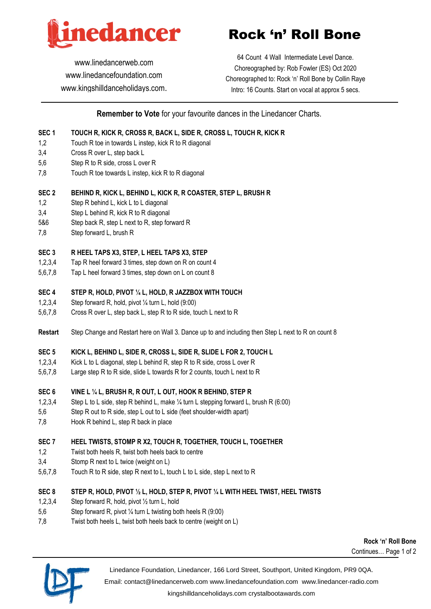

[www.linedancerweb.com](http://www.linedancerweb.com/) [www.linedancefoundation.com](http://www.linedancerweb.com/)  [www.kingshilldanceholidays.com](http://www.kingshilldanceholidays.com/).

# Rock 'n' Roll Bone

64 Count 4 Wall Intermediate Level Dance. Choreographed by: Rob Fowler (ES) Oct 2020 Choreographed to: Rock 'n' Roll Bone by Collin Raye Intro: 16 Counts. Start on vocal at approx 5 secs.

**Remember to Vote** for your favourite dances in the Linedancer Charts.

# **SEC 1 TOUCH R, KICK R, CROSS R, BACK L, SIDE R, CROSS L, TOUCH R, KICK R**

- 1,2 Touch R toe in towards L instep, kick R to R diagonal
- 3,4 Cross R over L, step back L
- 5,6 Step R to R side, cross L over R
- 7,8 Touch R toe towards L instep, kick R to R diagonal

#### **SEC 2 BEHIND R, KICK L, BEHIND L, KICK R, R COASTER, STEP L, BRUSH R**

- 1,2 Step R behind L, kick L to L diagonal
- 3,4 Step L behind R, kick R to R diagonal
- 5&6 Step back R, step L next to R, step forward R
- 7,8 Step forward L, brush R

#### **SEC 3 R HEEL TAPS X3, STEP, L HEEL TAPS X3, STEP**

- 1,2,3,4 Tap R heel forward 3 times, step down on R on count 4
- 5,6,7,8 Tap L heel forward 3 times, step down on L on count 8

#### **SEC 4 STEP R, HOLD, PIVOT ¼ L, HOLD, R JAZZBOX WITH TOUCH**

- 1,2,3,4 Step forward R, hold, pivot ¼ turn L, hold (9:00)
- 5,6,7,8 Cross R over L, step back L, step R to R side, touch L next to R
- **Restart** Step Change and Restart here on Wall 3. Dance up to and including then Step L next to R on count 8

## **SEC 5 KICK L, BEHIND L, SIDE R, CROSS L, SIDE R, SLIDE L FOR 2, TOUCH L**

- 1,2,3,4 Kick L to L diagonal, step L behind R, step R to R side, cross L over R
- 5,6,7,8 Large step R to R side, slide L towards R for 2 counts, touch L next to R

#### **SEC 6 VINE L ¼ L, BRUSH R, R OUT, L OUT, HOOK R BEHIND, STEP R**

- 1,2,3,4 Step L to L side, step R behind L, make ¼ turn L stepping forward L, brush R (6:00)
- 5,6 Step R out to R side, step L out to L side (feet shoulder-width apart)
- 7,8 Hook R behind L, step R back in place

#### **SEC 7 HEEL TWISTS, STOMP R X2, TOUCH R, TOGETHER, TOUCH L, TOGETHER**

- 1,2 Twist both heels R, twist both heels back to centre
- 3,4 Stomp R next to L twice (weight on L)
- 5,6,7,8 Touch R to R side, step R next to L, touch L to L side, step L next to R

#### **SEC 8 STEP R, HOLD, PIVOT ½ L, HOLD, STEP R, PIVOT ¼ L WITH HEEL TWIST, HEEL TWISTS**

- 1,2,3,4 Step forward R, hold, pivot ½ turn L, hold
- 5,6 Step forward R, pivot ¼ turn L twisting both heels R (9:00)
- 7,8 Twist both heels L, twist both heels back to centre (weight on L)

**Rock 'n' Roll Bone** Continues… Page 1 of 2



Linedance Foundation, Linedancer, 166 Lord Street, Southport, United Kingdom, PR9 0QA.

Email: [contact@linedancerweb.com](mailto:contact@linedancerweb.com) [www.linedancefoundation.com](http://www.linedancefoundation.com/) [www.linedancer-radio.com](http://www.linedancer-radio.com/)